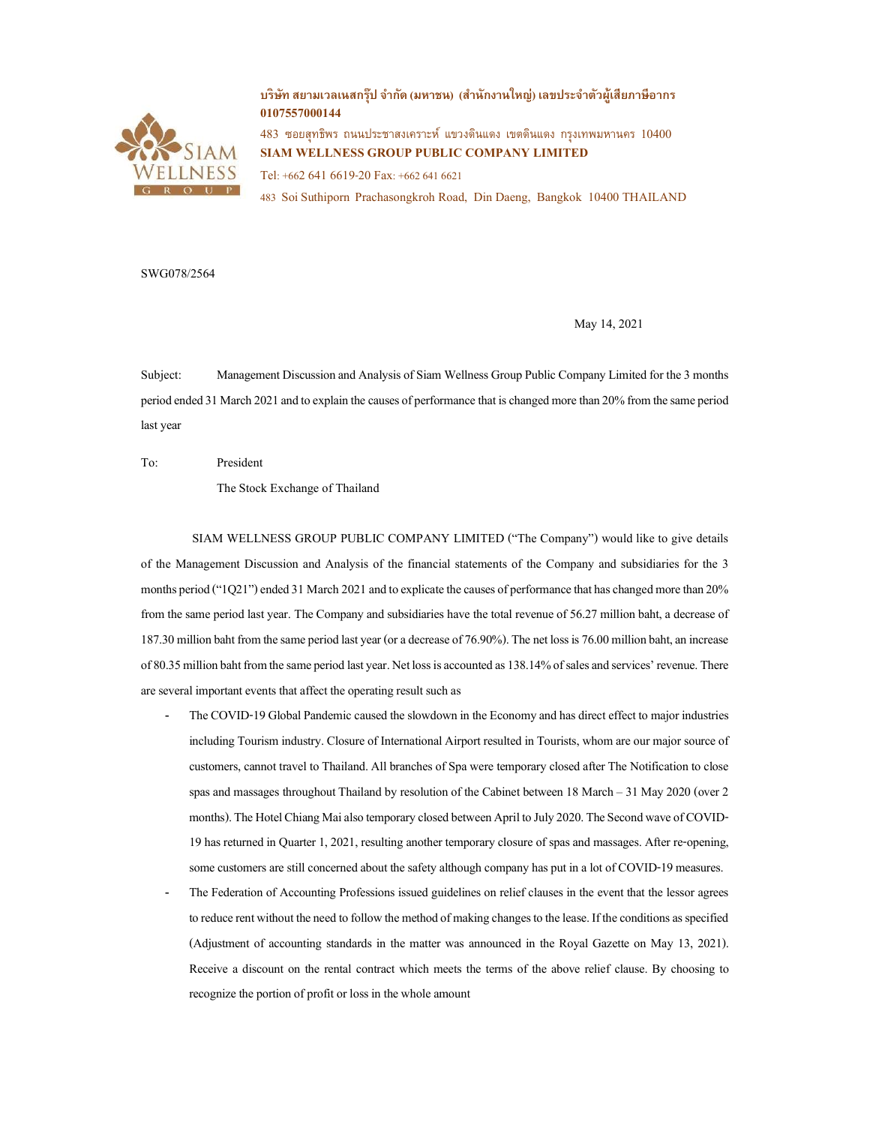

# บริษัท สยามเวลเนสกรุ๊ป จำกัด (มหาชน) (สำนักงานใหญ่) เลขประจำตัวผู้เสียภาษีอากร 0107557000144

 $483$  ซอยสุทธิพร ถนนประชาสงเคราะห์ แขวงดินแดง เขตดินแดง กรงเทพมหานคร  $10400$ SIAM WELLNESS GROUP PUBLIC COMPANY LIMITED Tel: +662 641 6619-20 Fax: +662 641 6621

483 Soi Suthiporn Prachasongkroh Road, Din Daeng, Bangkok 10400 THAILAND

SWG078/2564

May 14, 2021

Subject: Management Discussion and Analysis of Siam Wellness Group Public Company Limited for the 3 months period ended 31 March 2021 and to explain the causes of performance that is changed more than 20% from the same period last year

To: President

The Stock Exchange of Thailand

 SIAM WELLNESS GROUP PUBLIC COMPANY LIMITED ("The Company") would like to give details of the Management Discussion and Analysis of the financial statements of the Company and subsidiaries for the 3 months period ("1Q21") ended 31 March 2021 and to explicate the causes of performance that has changed more than 20% from the same period last year. The Company and subsidiaries have the total revenue of 56.27 million baht, a decrease of 187.30 million baht from the same period last year (or a decrease of 76.90%). The net loss is 76.00 million baht, an increase of 80.35 million baht from the same period last year. Net loss is accounted as 138.14% of sales and services' revenue. There are several important events that affect the operating result such as

- The COVID-19 Global Pandemic caused the slowdown in the Economy and has direct effect to major industries including Tourism industry. Closure of International Airport resulted in Tourists, whom are our major source of customers, cannot travel to Thailand. All branches of Spa were temporary closed after The Notification to close spas and massages throughout Thailand by resolution of the Cabinet between 18 March – 31 May 2020 (over 2 months). The Hotel Chiang Mai also temporary closed between April to July 2020. The Second wave of COVID-19 has returned in Quarter 1, 2021, resulting another temporary closure of spas and massages. After re-opening, some customers are still concerned about the safety although company has put in a lot of COVID-19 measures.
- The Federation of Accounting Professions issued guidelines on relief clauses in the event that the lessor agrees to reduce rent without the need to follow the method of making changes to the lease. If the conditions as specified (Adjustment of accounting standards in the matter was announced in the Royal Gazette on May 13, 2021). Receive a discount on the rental contract which meets the terms of the above relief clause. By choosing to recognize the portion of profit or loss in the whole amount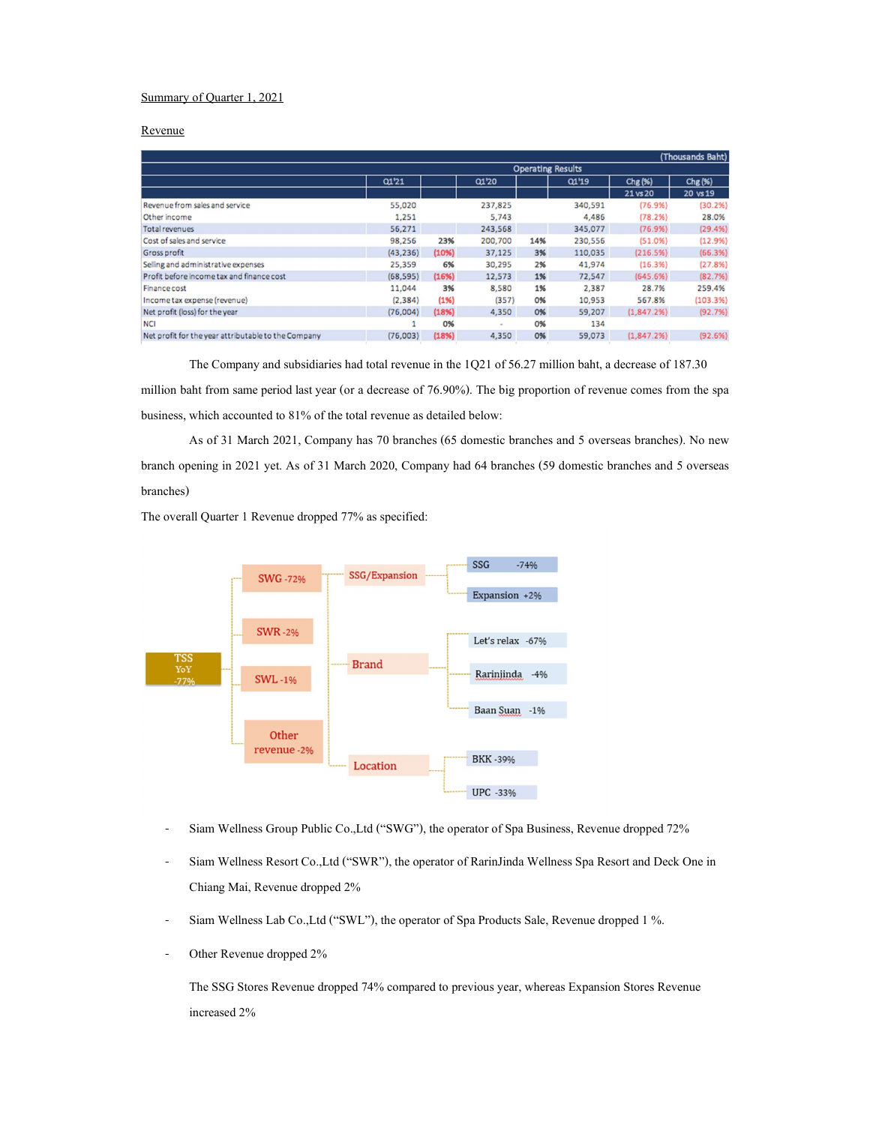## Summary of Quarter 1, 2021

## Revenue

|                                                     |                          |       |         |     |         |             | (Thousands Baht) |  |  |  |
|-----------------------------------------------------|--------------------------|-------|---------|-----|---------|-------------|------------------|--|--|--|
|                                                     | <b>Operating Results</b> |       |         |     |         |             |                  |  |  |  |
|                                                     | 01'21                    |       | 01'20   |     | 01'19   | Chg (%)     | $Chg(\%)$        |  |  |  |
|                                                     |                          |       |         |     |         | 21 vs 20    | 20 vs 19         |  |  |  |
| Revenue from sales and service                      | 55,020                   |       | 237,825 |     | 340,591 | (76.9%)     | (30.2%)          |  |  |  |
| Other income                                        | 1,251                    |       | 5.743   |     | 4,486   | (78.2%)     | 28.0%            |  |  |  |
| Total revenues                                      | 56,271                   |       | 243,568 |     | 345,077 | (76.9%)     | (29.4%)          |  |  |  |
| Cost of sales and service                           | 98,256                   | 23%   | 200,700 | 14% | 230,556 | (51.0%)     | (12.9%)          |  |  |  |
| Gross profit                                        | (43, 236)                | (10%) | 37,125  | 3%  | 110,035 | (216.5%)    | (66.3%)          |  |  |  |
| Selling and administrative expenses                 | 25,359                   | 6%    | 30,295  | 2%  | 41,974  | (16.3%)     | (27.8%)          |  |  |  |
| Profit before income tax and finance cost           | (68, 595)                | (16%) | 12,573  | 1%  | 72,547  | (645.6%)    | (82.7%)          |  |  |  |
| Finance cost                                        | 11,044                   | 3%    | 8,580   | 1%  | 2,387   | 28.7%       | 259.4%           |  |  |  |
| Income tax expense (revenue)                        | (2, 384)                 | (1% ) | (357)   | 0%  | 10,953  | 567.8%      | (103.3%)         |  |  |  |
| Net profit (loss) for the year                      | (76,004)                 | (18%) | 4,350   | 0%  | 59,207  | (1,847.2%)  | (92.7%)          |  |  |  |
| <b>NCI</b>                                          |                          | 0%    |         | 0%  | 134     |             |                  |  |  |  |
| Net profit for the year attributable to the Company | (76,003)                 | (18%) | 4,350   | 0%  | 59,073  | (1, 847, 2% | (92.6%)          |  |  |  |

The Company and subsidiaries had total revenue in the 1Q21 of 56.27 million baht, a decrease of 187.30 million baht from same period lastyear (or a decrease of 76.90%). The big proportion of revenue comes from the spa business, which accounted to 81% of the total revenue as detailed below:

 As of 31 March 2021, Company has 70 branches (65 domestic branches and 5 overseas branches). No new branch opening in 2021 yet. As of 31 March 2020, Company had 64 branches (59 domestic branches and 5 overseas branches)

The overall Quarter 1 Revenue dropped 77% as specified:



- Siam Wellness Group Public Co.,Ltd ("SWG"), the operator of Spa Business, Revenue dropped 72%
- Siam Wellness Resort Co.,Ltd ("SWR"), the operator of RarinJinda Wellness Spa Resort and Deck One in Chiang Mai, Revenue dropped 2%
- Siam Wellness Lab Co.,Ltd ("SWL"), the operator of Spa Products Sale, Revenue dropped 1 %.
- Other Revenue dropped 2%

The SSG Stores Revenue dropped 74% compared to previous year, whereas Expansion Stores Revenue increased 2%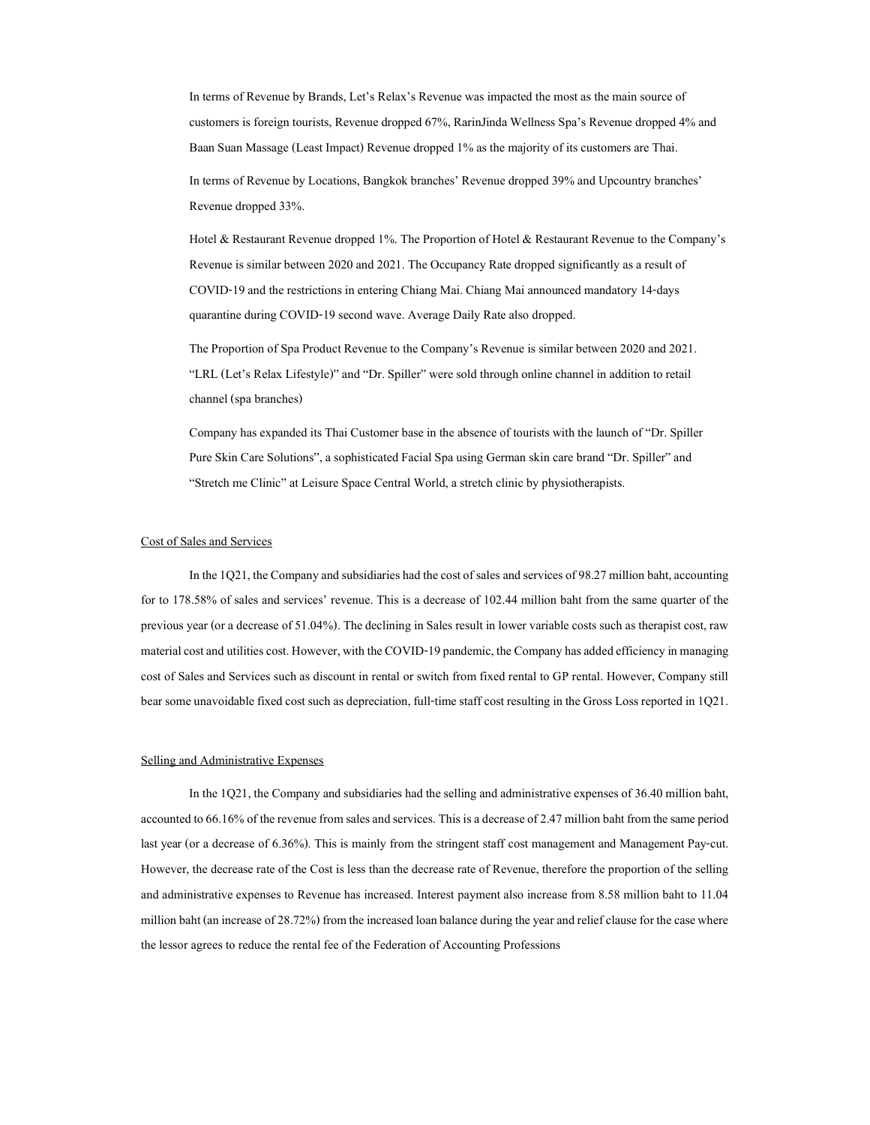In terms of Revenue by Brands, Let's Relax's Revenue was impacted the most as the main source of customers is foreign tourists, Revenue dropped 67%, RarinJinda Wellness Spa's Revenue dropped 4% and Baan Suan Massage (Least Impact) Revenue dropped 1% as the majority of its customers are Thai.

In terms of Revenue by Locations, Bangkok branches' Revenue dropped 39% and Upcountry branches' Revenue dropped 33%.

Hotel & Restaurant Revenue dropped 1%. The Proportion of Hotel & Restaurant Revenue to the Company's Revenue is similar between 2020 and 2021. The Occupancy Rate dropped significantly as a result of COVID-19 and the restrictions in entering Chiang Mai. Chiang Mai announced mandatory 14-days quarantine during COVID-19 second wave. Average Daily Rate also dropped.

The Proportion of Spa Product Revenue to the Company's Revenue is similar between 2020 and 2021. "LRL (Let's Relax Lifestyle)" and "Dr. Spiller" were sold through online channel in addition to retail channel (spa branches)

Company has expanded its Thai Customer base in the absence of tourists with the launch of "Dr. Spiller Pure Skin Care Solutions", a sophisticated Facial Spa using German skin care brand "Dr. Spiller" and "Stretch me Clinic" at Leisure Space Central World, a stretch clinic by physiotherapists.

#### Cost of Sales and Services

In the 1Q21, the Company and subsidiaries had the cost of sales and services of 98.27 million baht, accounting for to 178.58% of sales and services' revenue. This is a decrease of 102.44 million baht from the same quarter of the previous year (or a decrease of 51.04%). The declining in Sales result in lower variable costs such as therapist cost, raw material cost and utilities cost. However, with the COVID-19 pandemic, the Company has added efficiency in managing cost of Sales and Services such as discount in rental or switch from fixed rental to GP rental. However, Company still bear some unavoidable fixed cost such as depreciation, full-time staff cost resulting in the Gross Loss reported in 1Q21.

## Selling and Administrative Expenses

 In the 1Q21, the Company and subsidiaries had the selling and administrative expenses of 36.40 million baht, accounted to 66.16% of the revenue from sales and services. This is a decrease of 2.47 million baht from the same period last year (or a decrease of 6.36%). This is mainly from the stringent staff cost management and Management Pay-cut. However, the decrease rate of the Cost is less than the decrease rate of Revenue, therefore the proportion of the selling and administrative expenses to Revenue has increased. Interest payment also increase from 8.58 million baht to 11.04 million baht (an increase of 28.72%) from the increased loan balance during the year and relief clause for the case where the lessor agrees to reduce the rental fee of the Federation of Accounting Professions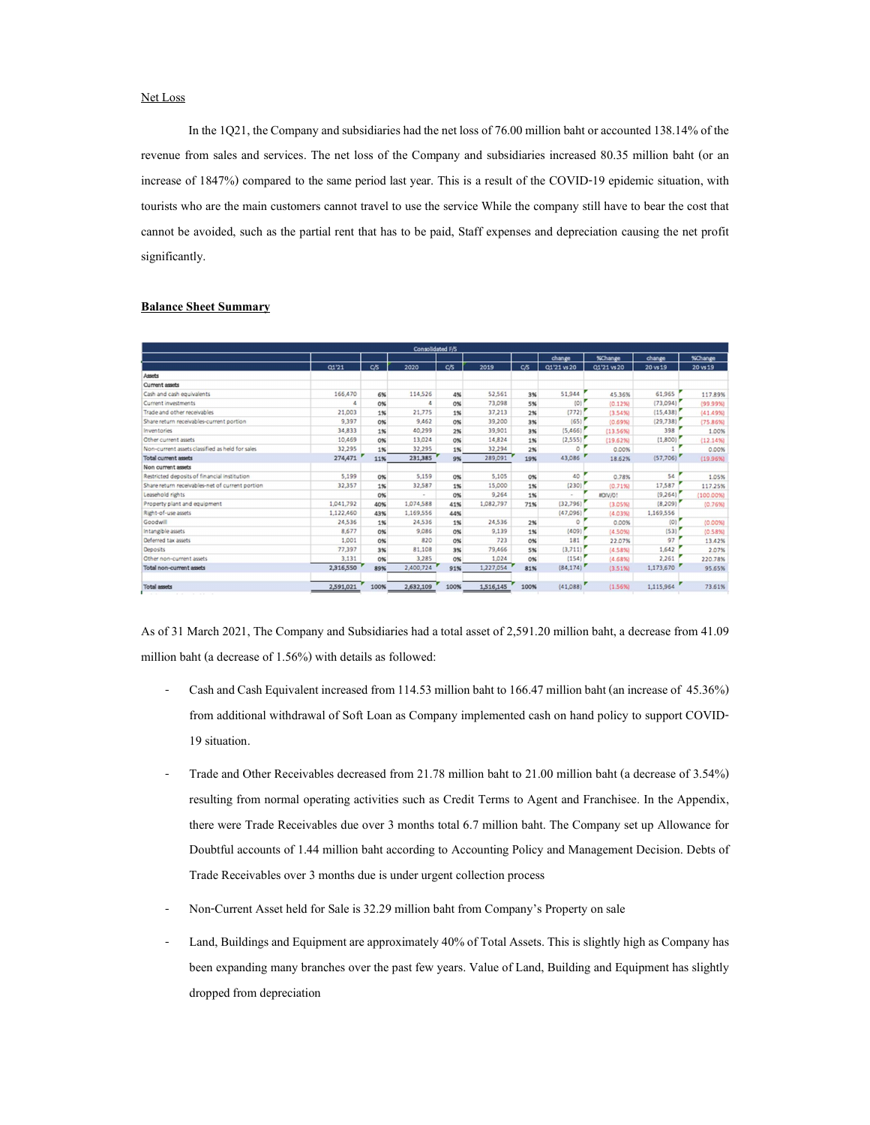## Net Loss

In the 1Q21, the Company and subsidiaries had the net loss of 76.00 million baht or accounted 138.14% of the revenue from sales and services. The net loss of the Company and subsidiaries increased 80.35 million baht (or an increase of 1847%) compared to the same period last year. This is a result of the COVID-19 epidemic situation, with tourists who are the main customers cannot travel to use the service While the company still have to bear the cost that cannot be avoided, such as the partial rent that has to be paid, Staff expenses and depreciation causing the net profit significantly.

| Consolidated F/S                                |           |      |           |      |           |      |             |                |           |          |
|-------------------------------------------------|-----------|------|-----------|------|-----------|------|-------------|----------------|-----------|----------|
|                                                 |           |      |           |      |           |      | change      | %Change        | change    | %Change  |
|                                                 | 01'21     | C/S  | 2020      | C/5  | 2019      | C/5  | 01'21 vs 20 | Q1'21 vs 20    | 20 vs 19  | 20 vs 19 |
| Assets                                          |           |      |           |      |           |      |             |                |           |          |
| Current assets                                  |           |      |           |      |           |      |             |                |           |          |
| Cash and cash equivalents                       | 166,470   | 6%   | 114,526   | 4%   | 52,561    | 3%   | 51,944      | 45.36%         | 61,965    | 117,89%  |
| Current investments                             | 4         | 0%   | 4         | 0%   | 73,098    | 5%   | (0)         | (0.12%         | (73,094)  | (99.99%  |
| Trade and other receivables                     | 21,003    | 1%   | 21,775    | 1%   | 37,213    | 2%   | (772)       | (3.54%)        | (15, 438) | (41.49%  |
| Share return receivables-current portion        | 9,397     | 0%   | 9,462     | 0%   | 39,200    | 3%   | (65)        | (0.69%         | (29.738)  | (75.86%) |
| Inventories                                     | 34,833    | 1%   | 40.299    | 2%   | 39,901    | 3%   | (5,466)     | (13.56%        | 398       | 1.00%    |
| Other current assets                            | 10,469    | 0%   | 13.024    | 0%   | 14,824    | 1%   | (2,555)     | (19.62%)       | (1,800)   | (12.14%  |
| Non-current assets classified as held for sales | 32,295    | 1%   | 32,295    | 1%   | 32,294    | 2%   | $\circ$     | 0.00%          |           | 0.00%    |
| <b>Total current assets</b>                     | 274,471   | 11%  | 231,385   | 9%   | 289,091   | 19%  | 43,086      | 18.62%         | (57,706)  | (19.96%  |
| Non current assets                              |           |      |           |      |           |      |             |                |           |          |
| Restricted deposits of financial institution    | 5,199     | 0%   | 5.159     | 0%   | 5,105     | 0%   | 40          | 0.78%          | 54        | 1.05%    |
| Share return receivables-net of current portion | 32,357    | 1%   | 32,587    | 1%   | 15,000    | 1%   | (230)       | (0.71%         | 17,587    | 117.25%  |
| Leasehold rights                                |           | 0%   | $\sim$    | 0%   | 9.264     | 1%   | ×.          | <b>ID/V/O!</b> | (9,264)   | (100.00% |
| Property plant and equipment                    | 1,041,792 | 40%  | 1,074,588 | 41%  | 1,082,797 | 71%  | (32, 796)   | (3.05%)        | (8,209)   | (0.76%   |
| Right-of-use assets                             | 1,122,460 | 43%  | 1,169,556 | 44%  |           |      | (47,096)    | (4.03%         | 1,169,556 |          |
| Goodwill                                        | 24,536    | 1%   | 24,536    | 1%   | 24,536    | 2%   | $\circ$     | 0.00%          | (0)       | (0.00%   |
| Intangible assets                               | 8,677     | 0%   | 9,086     | 0%   | 9.139     | 1%   | (409)       | (4.50%         | (53)      | (0.58%   |
| Deferred tax assets                             | 1,001     | 0%   | 820       | 0%   | 723       | 0%   | 181         | 22.07%         | 97        | 13.42%   |
| Deposits                                        | 77,397    | 3%   | 81,108    | 3%   | 79,466    | 5%   | (3,711)     | (4.58%)        | 1,642     | 2.07%    |
| Other non-current assets                        | 3,131     | 0%   | 3,285     | 0%   | 1,024     | 0%   | (154)       | (4.68%)        | 2,261     | 220.78%  |
| Total non-current assets                        | 2,316,550 | 89%  | 2,400,724 | 91%  | 1,227,054 | 81%  | (84, 174)   | (3.51%)        | 1,173,670 | 95.65%   |
|                                                 |           |      |           |      |           |      |             |                |           |          |
| <b>Total assets</b>                             | 2,591,021 | 100% | 2,632,109 | 100% | 1,516,145 | 100% | (41,088)    | (1.56%)        | 1,115,964 | 73.61%   |
|                                                 |           |      |           |      |           |      |             |                |           |          |

#### Balance Sheet Summary

As of 31 March 2021, The Company and Subsidiaries had a total asset of 2,591.20 million baht, a decrease from 41.09 million baht (a decrease of 1.56%) with details as followed:

- Cash and Cash Equivalent increased from 114.53 million baht to 166.47 million baht (an increase of 45.36%) from additional withdrawal of Soft Loan as Company implemented cash on hand policy to support COVID-19 situation.
- Trade and Other Receivables decreased from 21.78 million baht to 21.00 million baht (a decrease of 3.54%) resulting from normal operating activities such as Credit Terms to Agent and Franchisee. In the Appendix, there were Trade Receivables due over 3 months total 6.7 million baht. The Company set up Allowance for Doubtful accounts of 1.44 million baht according to Accounting Policy and Management Decision. Debts of Trade Receivables over 3 months due is under urgent collection process
- Non-Current Asset held for Sale is 32.29 million baht from Company's Property on sale
- Land, Buildings and Equipment are approximately 40% of Total Assets. This is slightly high as Company has been expanding many branches over the past few years. Value of Land, Building and Equipment has slightly dropped from depreciation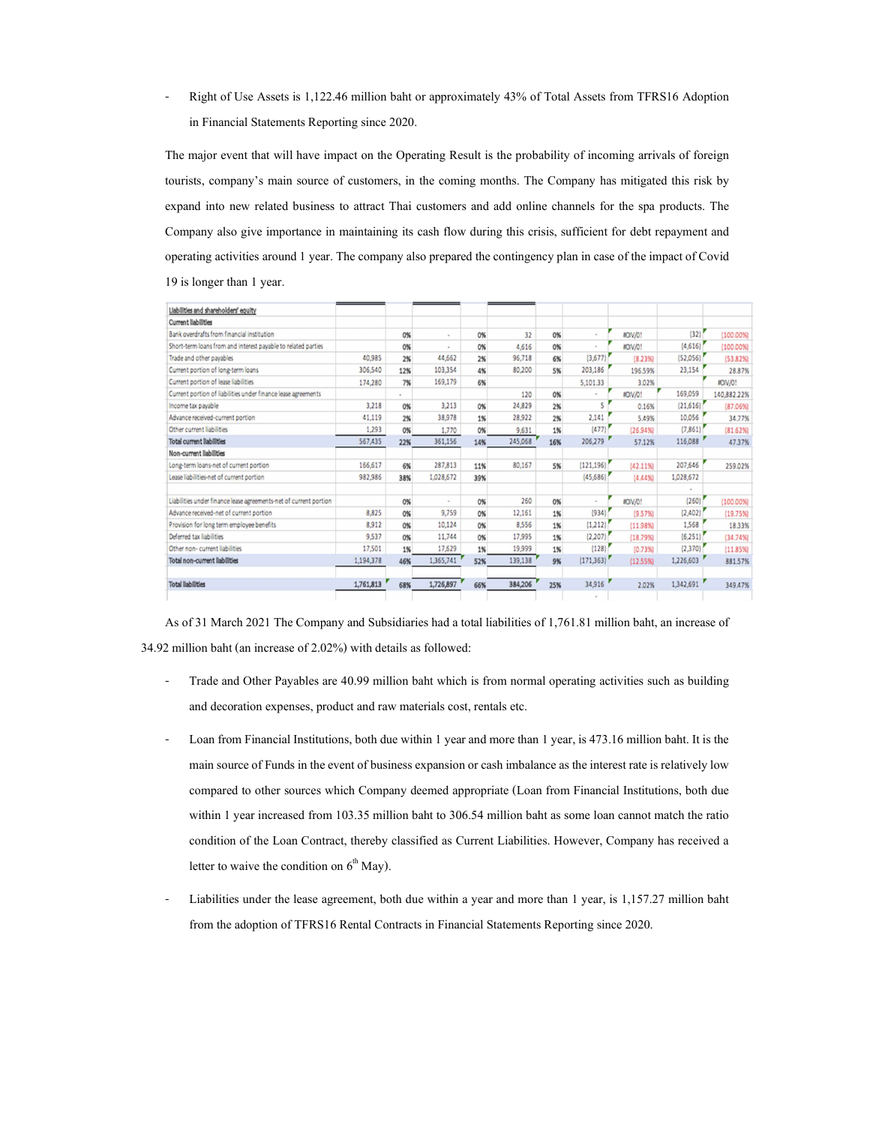- Right of Use Assets is 1,122.46 million baht or approximately 43% of Total Assets from TFRS16 Adoption in Financial Statements Reporting since 2020.<br>The major event that will have impact on the Operating Result is the probability of incoming arrivals of foreign

tourists, company's main source of customers, in the coming months. The Company has mitigated this risk by expand into new related business to attract Thai customers and add online channels forthe spa products. The Company also give importance in maintaining its cash flow during this crisis, sufficient for debt repayment and operating activities around 1 year. The company also prepared the contingency plan in case of the impact of Covid 19 is longer than 1 year.

| Liabilities and shareholders' equity                              |           |        |           |     |         |     |            |                 |           |                 |
|-------------------------------------------------------------------|-----------|--------|-----------|-----|---------|-----|------------|-----------------|-----------|-----------------|
| Current liabilities                                               |           |        |           |     |         |     |            |                 |           |                 |
| Bank overdrafts from financial institution                        |           | 0%     | $\sim$    | 0%  | 32      | 0%  |            | <b>IIDIV/O!</b> | (32)      | (100.00%        |
| Short-term loans from and interest payable to related parties     |           | 0%     | $\sim$    | 0%  | 4,616   | 0%  |            | <b>JIDIV/O!</b> | (4,616)   | $(100.00\%)$    |
| Trade and other pavables                                          | 40,985    | 2%     | 44,662    | 2%  | 96,718  | 6%  | (3,677)    | (8.23%          | (52,056)  | (53.82%)        |
| Current portion of long-term loans                                | 306,540   | 12%    | 103,354   | 4%  | 80,200  | 5%  | 203,186    | 196.59%         | 23,154    | 28.87%          |
| Current portion of lease liabilities                              | 174,280   | 7%     | 169,179   | 6%  |         |     | 5,101.33   | 3.02%           |           | <b>IID/V/O!</b> |
| Current portion of liabilities under finance lease agreements     |           | $\sim$ |           |     | 120     | 0%  |            | <b>IIDIV/O!</b> | 169,059   | 140,882.22%     |
| Income tax payable                                                | 3,218     | 0%     | 3,213     | 0%  | 24,829  | 2%  | S          | 0.16%           | (21,616)  | (87.06%)        |
| Advance received-current portion                                  | 41,119    | 2%     | 38,978    | 1%  | 28,922  | 2%  | 2,141      | 5.49%           | 10,056    | 34.77%          |
| Other current liabilities                                         | 1,293     | 0%     | 1,770     | 0%  | 9,631   | 1%  | (477)      | (26.94%         | (7,861)   | (81.62%)        |
| <b>Total current liabilities</b>                                  | 567,435   | 22%    | 361,156   | 14% | 245,068 | 16% | 206,279    | 57.12%          | 116,088   | 47.37%          |
| Non-current liabilities                                           |           |        |           |     |         |     |            |                 |           |                 |
| Long-term loans-net of current portion                            | 166,617   | 6%     | 287,813   | 11% | 80,167  | 5%  | (121, 196) | $(42.11\%)$     | 207,646   | 259.02%         |
| Lease liabilities-net of current portion                          | 982,986   | 38%    | 1,028,672 | 39% |         |     | (45,686)   | (4.44%          | 1,028,672 |                 |
|                                                                   |           |        |           |     |         |     |            |                 |           |                 |
| Liabilities under finance lease agreements-net of current portion |           | 0%     | $\sim$    | 0%  | 260     | 0%  | ×.         | <b>JIDIV/O!</b> | (260)     | (100.00%)       |
| Advance received-net of current portion                           | 8,825     | 0%     | 9,759     | 0%  | 12,161  | 1%  | (934)      | (9.57%          | (2,402)   | (19.75%)        |
| Provision for long term employee benefits                         | 8.912     | 0%     | 10,124    | 0%  | 8,556   | 1%  | (1,212)    | (11.98%)        | 1,568     | 18.33%          |
| Deferred tax liabilities                                          | 9,537     | 0%     | 11,744    | 0%  | 17,995  | 1%  | (2,207)    | (18.79%         | (6,251)   | (34.74%)        |
| Other non- current liabilities                                    | 17,501    | 1%     | 17,629    | 1%  | 19,999  | 1%  | (128)      | (0.73%          | (2,370)   | (11.85%)        |
| Total non-current liabilities                                     | 1,194,378 | 46%    | 1,365,741 | 52% | 139,138 | 9%  | (171, 363) | (12.55%)        | 1,226,603 | 881.57%         |
|                                                                   |           |        |           |     |         |     |            |                 |           |                 |
| <b>Total liabilities</b>                                          | 1,761,813 | 68%    | 1,726,897 | 66% | 384,206 | 25% | 34,916     | 2.02%           | 1,342,691 | 349,47%         |
|                                                                   |           |        |           |     |         |     |            |                 |           |                 |

As of 31 March 2021 The Company and Subsidiaries had a total liabilities of 1,761.81 million baht, an increase of 34.92 million baht (an increase of 2.02%) with details as followed:

- Trade and Other Payables are 40.99 million baht which is from normal operating activities such as building and decoration expenses, product and raw materials cost, rentals etc.
- Loan from Financial Institutions, both due within 1 year and more than 1 year, is 473.16 million baht. It is the main source of Funds in the event of business expansion or cash imbalance as the interest rate is relatively low compared to other sources which Company deemed appropriate (Loan from Financial Institutions, both due within 1 year increased from 103.35 million baht to 306.54 million baht as some loan cannot match the ratio condition of the Loan Contract, thereby classified as Current Liabilities. However, Company has received a letter to waive the condition on  $6<sup>th</sup>$  May).
- Liabilities under the lease agreement, both due within a year and more than 1 year, is 1,157.27 million baht from the adoption of TFRS16 Rental Contracts in Financial Statements Reporting since 2020.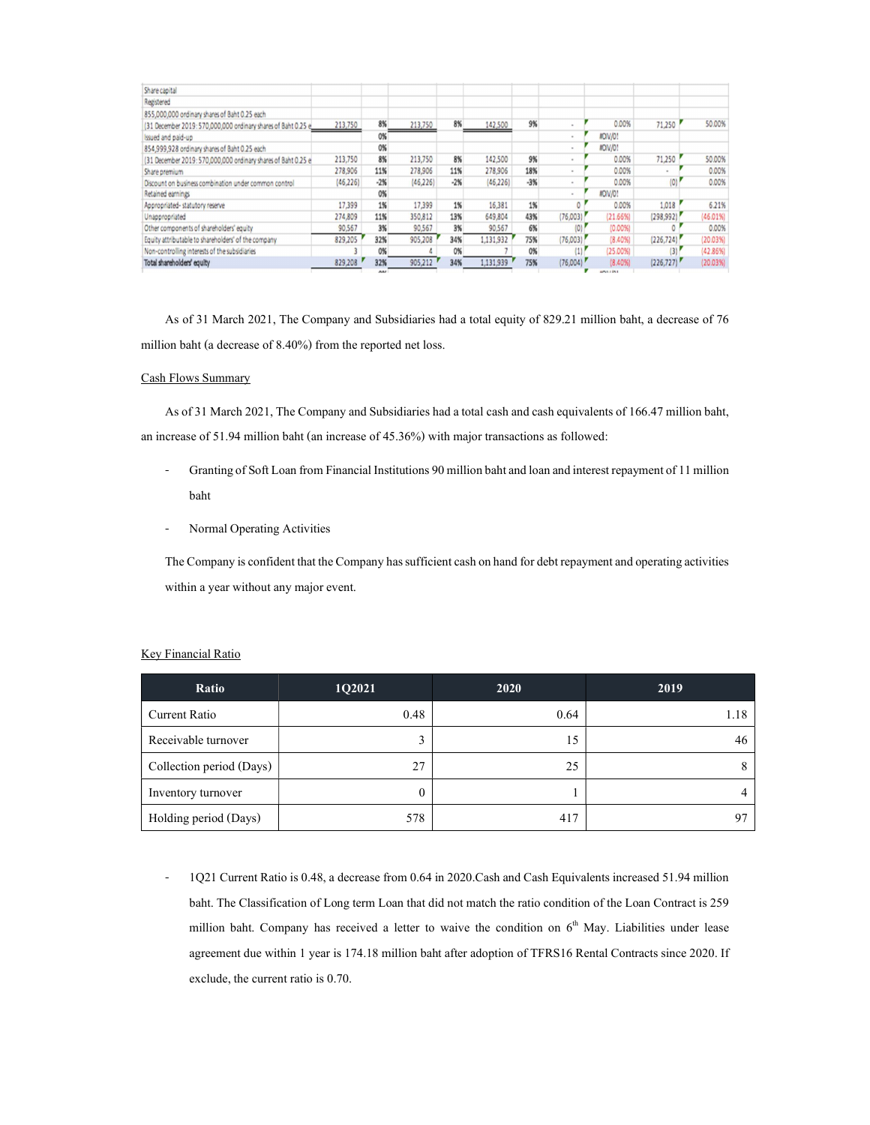| Share capital                                                 |           |       |           |       |           |       |                  |                 |            |          |
|---------------------------------------------------------------|-----------|-------|-----------|-------|-----------|-------|------------------|-----------------|------------|----------|
| Registered                                                    |           |       |           |       |           |       |                  |                 |            |          |
| 855,000,000 ordinary shares of Baht 0.25 each                 |           |       |           |       |           |       |                  |                 |            |          |
| (31 December 2019: 570,000,000 ordinary shares of Baht 0.25 e | 213,750   | 8%    | 213,750   | 8%    | 142,500   | 9%    |                  | 0.00%           | 71,250     | 50.00%   |
| Issued and paid-up                                            |           | 0%    |           |       |           |       |                  | <b>IIDIV/O!</b> |            |          |
| 854,999,928 ordinary shares of Baht 0.25 each                 |           | 0%    |           |       |           |       |                  | <b>IIDIV/01</b> |            |          |
| (31 December 2019: 570,000,000 ordinary shares of Baht 0.25 e | 213,750   | 8%    | 213,750   | 8%    | 142,500   | 9%    |                  | 0.00%           | 71,250     | 50.00%   |
| Share premium                                                 | 278,906   | 11%   | 278,906   | 11%   | 278,906   | 18%   |                  | 0.00%           |            | 0.00%    |
| Discount on business combination under common control         | (46, 226) | $-2%$ | (46, 226) | $-2%$ | (46, 226) | $-3%$ |                  | 0.00%           | (0)        | 0.00%    |
| Retained earnings                                             |           | 0%    |           |       |           |       |                  | <b>IIDIV/O!</b> |            |          |
| Appropriated-statutory reserve                                | 17,399    | 1%    | 17,399    | 1%    | 16,381    | 1%    |                  | 0.00%           | 1,018      | 6.21%    |
| Unappropriated                                                | 274,809   | 11%   | 350,812   | 13%   | 649,804   | 43%   | (76,003)         | (21.66%)        | (298,992)  | (46.01%  |
| Other components of shareholders' equity                      | 90,567    | 3%    | 90,567    | 3%    | 90,567    | 6%    | $\overline{10}$  | (0.00%          |            | 0.00%    |
| Equity attributable to shareholders' of the company           | 829,205   | 32%   | 905,208   | 34%   | 1,131,932 | 75%   | (76,003)         | (8.40%          | (226, 724) | (20.03%) |
| Non-controlling interests of the subsidiaries                 |           | 0%    |           | 0%    |           | 0%    | $\left(1\right)$ | (25.00%         | (3)        | (42.86%) |
| Total shareholders' equity                                    | 829,208   | 32%   | 905,212   | 34%   | 1,131,939 | 75%   | (76,004)         | (8.40%          | (226, 727) | (20.03%) |
|                                                               |           |       |           |       |           |       |                  |                 |            |          |

As of 31 March 2021, The Company and Subsidiaries had a total equity of 829.21 million baht, a decrease of 76 million baht (a decrease of 8.40%) from the reported net loss.

## Cash Flows Summary

As of 31 March 2021, The Company and Subsidiaries had a total cash and cash equivalents of 166.47 million baht, an increase of 51.94 million baht (an increase of 45.36%) with major transactions as followed:

- Granting of Soft Loan from Financial Institutions 90 million baht and loan and interest repayment of 11 million baht
- Normal Operating Activities

The Company is confident that the Company has sufficient cash on hand for debt repayment and operating activities within a year without any major event.

## Key Financial Ratio

| Ratio                    | 1Q2021 | 2020 | 2019 |
|--------------------------|--------|------|------|
| <b>Current Ratio</b>     | 0.48   | 0.64 | 1.18 |
| Receivable turnover      |        | 15   | 46   |
| Collection period (Days) | 27     | 25   |      |
| Inventory turnover       |        |      |      |
| Holding period (Days)    | 578    | 417  | 97   |

- 1Q21 Current Ratio is 0.48, a decrease from 0.64 in 2020.Cash and Cash Equivalents increased 51.94 million baht. The Classification of Long term Loan that did not match the ratio condition of the Loan Contract is 259 million baht. Company has received a letter to waive the condition on  $6<sup>th</sup>$  May. Liabilities under lease agreement due within 1 year is 174.18 million baht after adoption of TFRS16 Rental Contracts since 2020. If exclude, the current ratio is 0.70.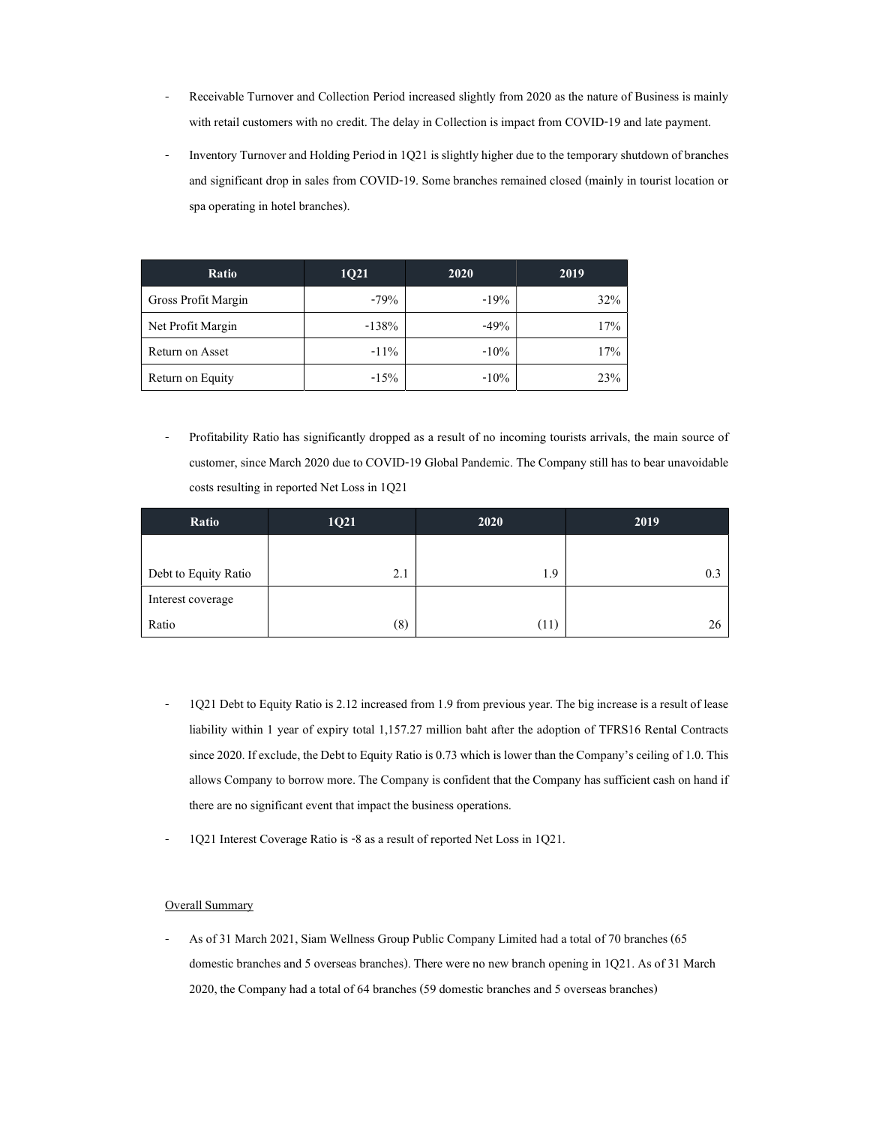- Receivable Turnover and Collection Period increased slightly from 2020 as the nature of Business is mainly with retail customers with no credit. The delay in Collection is impact from COVID-19 and late payment.
- Inventory Turnover and Holding Period in 1Q21 is slightly higher due to the temporary shutdown of branches and significant drop in sales from COVID-19. Some branches remained closed (mainly in tourist location or spa operating in hotel branches).

| Ratio               | <b>1021</b> | 2020    | 2019 |
|---------------------|-------------|---------|------|
| Gross Profit Margin | $-79%$      | $-19%$  | 32%  |
| Net Profit Margin   | $-138%$     | $-49%$  | 17%  |
| Return on Asset     | $-11\%$     | $-10\%$ | 17%  |
| Return on Equity    | $-15%$      | $-10\%$ | 23%  |

- Profitability Ratio has significantly dropped as a result of no incoming tourists arrivals, the main source of customer, since March 2020 due to COVID-19 Global Pandemic. The Company still has to bear unavoidable costs resulting in reported Net Loss in 1Q21

| Ratio                | 1Q21 | 2020 | 2019 |
|----------------------|------|------|------|
|                      |      |      |      |
| Debt to Equity Ratio | 2.1  | 1.9  | 0.3  |
| Interest coverage    |      |      |      |
| Ratio                | (8)  | (11) | 26   |

- 1Q21 Debt to Equity Ratio is 2.12 increased from 1.9 from previous year. The big increase is a result of lease liability within 1 year of expiry total 1,157.27 million baht after the adoption of TFRS16 Rental Contracts since 2020. If exclude, the Debt to Equity Ratio is 0.73 which is lower than the Company's ceiling of 1.0. This allows Company to borrow more. The Company is confident that the Company has sufficient cash on hand if there are no significant event that impact the business operations.
- 1Q21 Interest Coverage Ratio is -8 as a result of reported Net Loss in 1Q21.

## Overall Summary

- As of 31 March 2021, Siam Wellness Group Public Company Limited had a total of 70 branches (65 domestic branches and 5 overseas branches). There were no new branch opening in 1Q21. As of 31 March 2020, the Company had a total of 64 branches (59 domestic branches and 5 overseas branches)